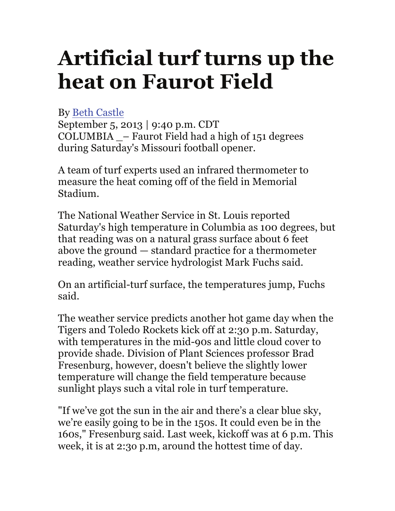## **Artificial turf turns up the heat on Faurot Field**

## By Beth Castle

September 5, 2013 | 9:40 p.m. CDT COLUMBIA \_– Faurot Field had a high of 151 degrees during Saturday's Missouri football opener.

A team of turf experts used an infrared thermometer to measure the heat coming off of the field in Memorial Stadium.

The National Weather Service in St. Louis reported Saturday's high temperature in Columbia as 100 degrees, but that reading was on a natural grass surface about 6 feet above the ground — standard practice for a thermometer reading, weather service hydrologist Mark Fuchs said.

On an artificial-turf surface, the temperatures jump, Fuchs said.

The weather service predicts another hot game day when the Tigers and Toledo Rockets kick off at 2:30 p.m. Saturday, with temperatures in the mid-90s and little cloud cover to provide shade. Division of Plant Sciences professor Brad Fresenburg, however, doesn't believe the slightly lower temperature will change the field temperature because sunlight plays such a vital role in turf temperature.

"If we've got the sun in the air and there's a clear blue sky, we're easily going to be in the 150s. It could even be in the 160s," Fresenburg said. Last week, kickoff was at 6 p.m. This week, it is at 2:3o p.m, around the hottest time of day.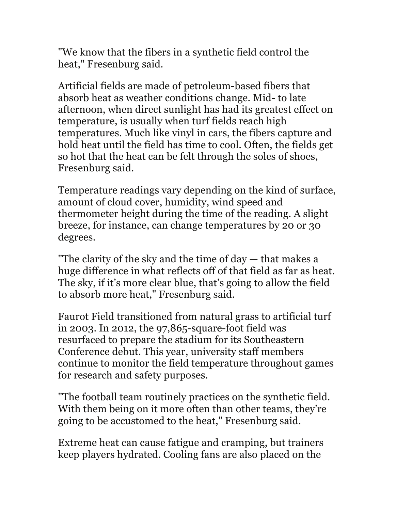"We know that the fibers in a synthetic field control the heat," Fresenburg said.

Artificial fields are made of petroleum-based fibers that absorb heat as weather conditions change. Mid- to late afternoon, when direct sunlight has had its greatest effect on temperature, is usually when turf fields reach high temperatures. Much like vinyl in cars, the fibers capture and hold heat until the field has time to cool. Often, the fields get so hot that the heat can be felt through the soles of shoes, Fresenburg said.

Temperature readings vary depending on the kind of surface, amount of cloud cover, humidity, wind speed and thermometer height during the time of the reading. A slight breeze, for instance, can change temperatures by 20 or 30 degrees.

"The clarity of the sky and the time of day — that makes a huge difference in what reflects off of that field as far as heat. The sky, if it's more clear blue, that's going to allow the field to absorb more heat," Fresenburg said.

Faurot Field transitioned from natural grass to artificial turf in 2003. In 2012, the 97,865-square-foot field was resurfaced to prepare the stadium for its Southeastern Conference debut. This year, university staff members continue to monitor the field temperature throughout games for research and safety purposes.

"The football team routinely practices on the synthetic field. With them being on it more often than other teams, they're going to be accustomed to the heat," Fresenburg said.

Extreme heat can cause fatigue and cramping, but trainers keep players hydrated. Cooling fans are also placed on the